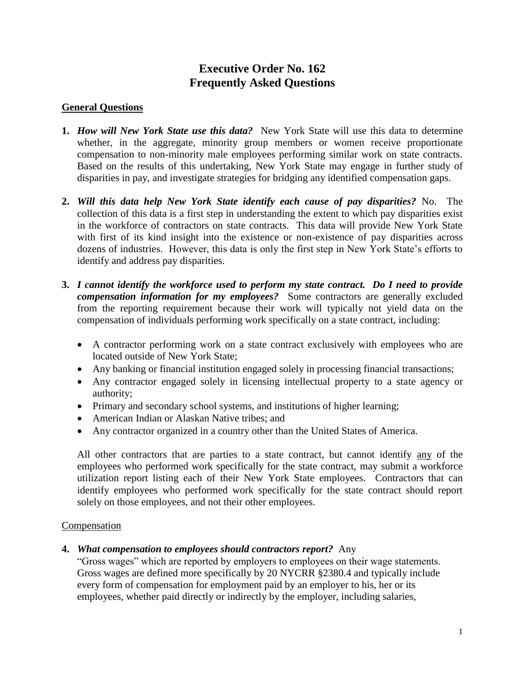# **Executive Order No. 162 Frequently Asked Questions**

## **General Questions**

- **1.** *How will New York State use this data?* New York State will use this data to determine whether, in the aggregate, minority group members or women receive proportionate compensation to non-minority male employees performing similar work on state contracts. Based on the results of this undertaking, New York State may engage in further study of disparities in pay, and investigate strategies for bridging any identified compensation gaps.
- **2.** *Will this data help New York State identify each cause of pay disparities?* No. The collection of this data is a first step in understanding the extent to which pay disparities exist in the workforce of contractors on state contracts. This data will provide New York State with first of its kind insight into the existence or non-existence of pay disparities across dozens of industries. However, this data is only the first step in New York State's efforts to identify and address pay disparities.
- **3.** *I cannot identify the workforce used to perform my state contract. Do I need to provide compensation information for my employees?* Some contractors are generally excluded from the reporting requirement because their work will typically not yield data on the compensation of individuals performing work specifically on a state contract, including:
	- A contractor performing work on a state contract exclusively with employees who are located outside of New York State;
	- Any banking or financial institution engaged solely in processing financial transactions;
	- Any contractor engaged solely in licensing intellectual property to a state agency or authority;
	- Primary and secondary school systems, and institutions of higher learning;
	- American Indian or Alaskan Native tribes; and
	- Any contractor organized in a country other than the United States of America.

All other contractors that are parties to a state contract, but cannot identify any of the employees who performed work specifically for the state contract, may submit a workforce utilization report listing each of their New York State employees. Contractors that can identify employees who performed work specifically for the state contract should report solely on those employees, and not their other employees.

#### **Compensation**

#### **4.** *What compensation to employees should contractors report?* Any

"Gross wages" which are reported by employers to employees on their wage statements. Gross wages are defined more specifically by 20 NYCRR §2380.4 and typically include every form of compensation for employment paid by an employer to his, her or its employees, whether paid directly or indirectly by the employer, including salaries,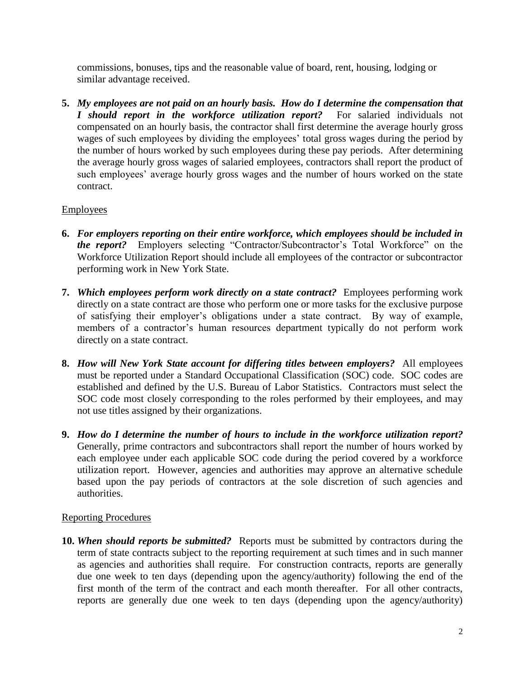commissions, bonuses, tips and the reasonable value of board, rent, housing, lodging or similar advantage received.

**5.** *My employees are not paid on an hourly basis. How do I determine the compensation that I* should report in the workforce utilization report? compensated on an hourly basis, the contractor shall first determine the average hourly gross wages of such employees by dividing the employees' total gross wages during the period by the number of hours worked by such employees during these pay periods. After determining the average hourly gross wages of salaried employees, contractors shall report the product of such employees' average hourly gross wages and the number of hours worked on the state contract.

# Employees

- **6.** *For employers reporting on their entire workforce, which employees should be included in the report?* Employers selecting "Contractor/Subcontractor's Total Workforce" on the Workforce Utilization Report should include all employees of the contractor or subcontractor performing work in New York State.
- **7.** *Which employees perform work directly on a state contract?* Employees performing work directly on a state contract are those who perform one or more tasks for the exclusive purpose of satisfying their employer's obligations under a state contract. By way of example, members of a contractor's human resources department typically do not perform work directly on a state contract.
- **8.** *How will New York State account for differing titles between employers?* All employees must be reported under a Standard Occupational Classification (SOC) code. SOC codes are established and defined by the U.S. Bureau of Labor Statistics. Contractors must select the SOC code most closely corresponding to the roles performed by their employees, and may not use titles assigned by their organizations.
- **9.** *How do I determine the number of hours to include in the workforce utilization report?*  Generally, prime contractors and subcontractors shall report the number of hours worked by each employee under each applicable SOC code during the period covered by a workforce utilization report. However, agencies and authorities may approve an alternative schedule based upon the pay periods of contractors at the sole discretion of such agencies and authorities.

## Reporting Procedures

**10.** *When should reports be submitted?* Reports must be submitted by contractors during the term of state contracts subject to the reporting requirement at such times and in such manner as agencies and authorities shall require. For construction contracts, reports are generally due one week to ten days (depending upon the agency/authority) following the end of the first month of the term of the contract and each month thereafter. For all other contracts, reports are generally due one week to ten days (depending upon the agency/authority)